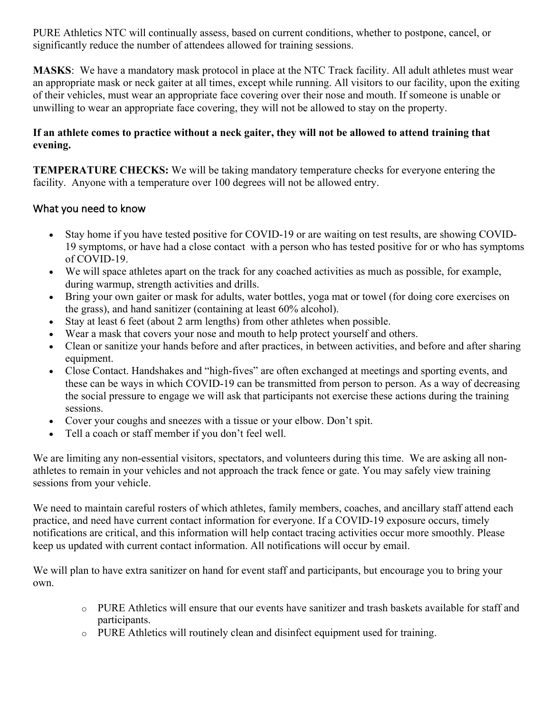PURE Athletics NTC will continually assess, based on current conditions, whether to postpone, cancel, or significantly reduce the number of attendees allowed for training sessions.

**MASKS**: We have a mandatory mask protocol in place at the NTC Track facility. All adult athletes must wear an appropriate mask or neck gaiter at all times, except while running. All visitors to our facility, upon the exiting of their vehicles, must wear an appropriate face covering over their nose and mouth. If someone is unable or unwilling to wear an appropriate face covering, they will not be allowed to stay on the property.

## **If an athlete comes to practice without a neck gaiter, they will not be allowed to attend training that evening.**

**TEMPERATURE CHECKS:** We will be taking mandatory temperature checks for everyone entering the facility. Anyone with a temperature over 100 degrees will not be allowed entry.

## What you need to know

- Stay home if you have tested positive for COVID-19 or are waiting on test results, are showing COVID-19 symptoms, or have had a close contact with a person who has tested positive for or who has symptoms of COVID-19.
- We will space athletes apart on the track for any coached activities as much as possible, for example, during warmup, strength activities and drills.
- Bring your own gaiter or mask for adults, water bottles, yoga mat or towel (for doing core exercises on the grass), and hand sanitizer (containing at least 60% alcohol).
- Stay at least 6 feet (about 2 arm lengths) from other athletes when possible.
- Wear a mask that covers your nose and mouth to help protect yourself and others.
- Clean or sanitize your hands before and after practices, in between activities, and before and after sharing equipment.
- Close Contact. Handshakes and "high-fives" are often exchanged at meetings and sporting events, and these can be ways in which COVID-19 can be transmitted from person to person. As a way of decreasing the social pressure to engage we will ask that participants not exercise these actions during the training sessions.
- Cover your coughs and sneezes with a tissue or your elbow. Don't spit.
- Tell a coach or staff member if you don't feel well.

We are limiting any non-essential visitors, spectators, and volunteers during this time. We are asking all nonathletes to remain in your vehicles and not approach the track fence or gate. You may safely view training sessions from your vehicle.

We need to maintain careful rosters of which athletes, family members, coaches, and ancillary staff attend each practice, and need have current contact information for everyone. If a COVID-19 exposure occurs, timely notifications are critical, and this information will help contact tracing activities occur more smoothly. Please keep us updated with current contact information. All notifications will occur by email.

We will plan to have extra sanitizer on hand for event staff and participants, but encourage you to bring your own.

- o PURE Athletics will ensure that our events have sanitizer and trash baskets available for staff and participants.
- o PURE Athletics will routinely clean and disinfect equipment used for training.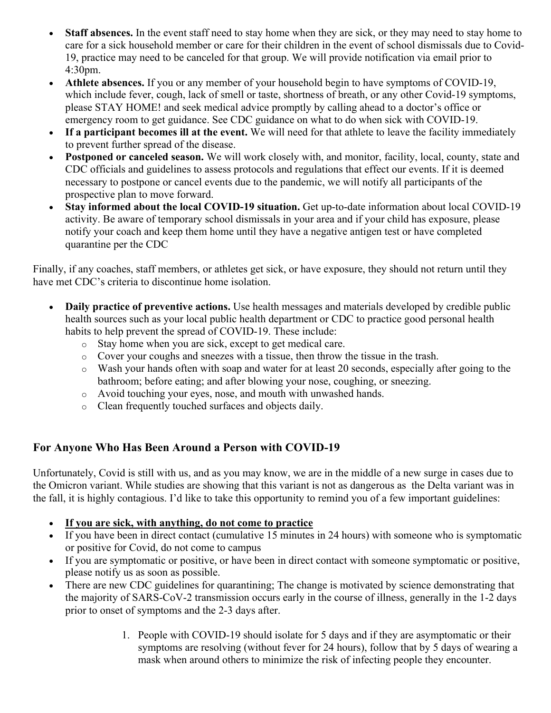- **Staff absences.** In the event staff need to stay home when they are sick, or they may need to stay home to care for a sick household member or care for their children in the event of school dismissals due to Covid-19, practice may need to be canceled for that group. We will provide notification via email prior to 4:30pm.
- **Athlete absences.** If you or any member of your household begin to have symptoms of COVID-19, which include fever, cough, lack of smell or taste, shortness of breath, or any other Covid-19 symptoms, please STAY HOME! and seek medical advice promptly by calling ahead to a doctor's office or emergency room to get guidance. See CDC guidance on what to do when sick with COVID-19.
- **If a participant becomes ill at the event.** We will need for that athlete to leave the facility immediately to prevent further spread of the disease.
- **Postponed or canceled season.** We will work closely with, and monitor, facility, local, county, state and CDC officials and guidelines to assess protocols and regulations that effect our events. If it is deemed necessary to postpone or cancel events due to the pandemic, we will notify all participants of the prospective plan to move forward.
- **Stay informed about the local COVID-19 situation.** Get up-to-date information about local COVID-19 activity. Be aware of temporary school dismissals in your area and if your child has exposure, please notify your coach and keep them home until they have a negative antigen test or have completed quarantine per the CDC

Finally, if any coaches, staff members, or athletes get sick, or have exposure, they should not return until they have met CDC's criteria to discontinue home isolation.

- **Daily practice of preventive actions.** Use health messages and materials developed by credible public health sources such as your local public health department or CDC to practice good personal health habits to help prevent the spread of COVID-19. These include:
	- o Stay home when you are sick, except to get medical care.
	- o Cover your coughs and sneezes with a tissue, then throw the tissue in the trash.
	- o Wash your hands often with soap and water for at least 20 seconds, especially after going to the bathroom; before eating; and after blowing your nose, coughing, or sneezing.
	- o Avoid touching your eyes, nose, and mouth with unwashed hands.
	- o Clean frequently touched surfaces and objects daily.

## **For Anyone Who Has Been Around a Person with COVID-19**

Unfortunately, Covid is still with us, and as you may know, we are in the middle of a new surge in cases due to the Omicron variant. While studies are showing that this variant is not as dangerous as the Delta variant was in the fall, it is highly contagious. I'd like to take this opportunity to remind you of a few important guidelines:

- **If you are sick, with anything, do not come to practice**
- If you have been in direct contact (cumulative 15 minutes in 24 hours) with someone who is symptomatic or positive for Covid, do not come to campus
- If you are symptomatic or positive, or have been in direct contact with someone symptomatic or positive, please notify us as soon as possible.
- There are new CDC guidelines for quarantining; The change is motivated by science demonstrating that the majority of SARS-CoV-2 transmission occurs early in the course of illness, generally in the 1-2 days prior to onset of symptoms and the 2-3 days after.
	- 1. People with COVID-19 should isolate for 5 days and if they are asymptomatic or their symptoms are resolving (without fever for 24 hours), follow that by 5 days of wearing a mask when around others to minimize the risk of infecting people they encounter.